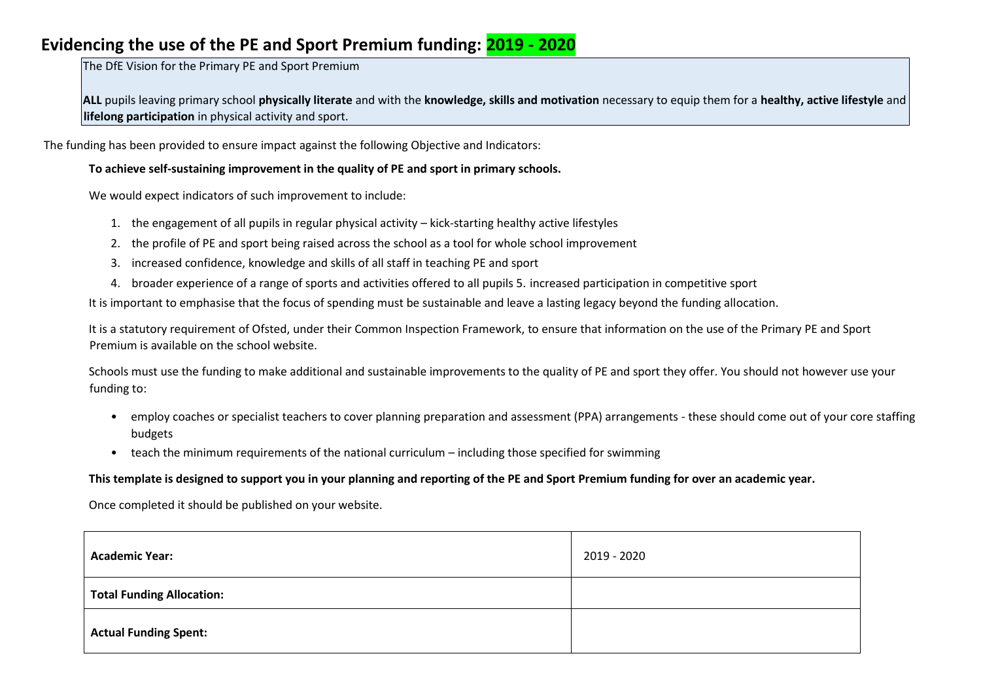## **Evidencing the use of the PE and Sport Premium funding: 2019 - 2020**

The DfE Vision for the Primary PE and Sport Premium

**ALL** pupils leaving primary school **physically literate** and with the **knowledge, skills and motivation** necessary to equip them for a **healthy, active lifestyle** and **lifelong participation** in physical activity and sport.

The funding has been provided to ensure impact against the following Objective and Indicators:

#### **To achieve self-sustaining improvement in the quality of PE and sport in primary schools.**

We would expect indicators of such improvement to include:

- 1. the engagement of all pupils in regular physical activity kick-starting healthy active lifestyles
- 2. the profile of PE and sport being raised across the school as a tool for whole school improvement
- 3. increased confidence, knowledge and skills of all staff in teaching PE and sport
- 4. broader experience of a range of sports and activities offered to all pupils 5. increased participation in competitive sport

It is important to emphasise that the focus of spending must be sustainable and leave a lasting legacy beyond the funding allocation.

It is a statutory requirement of Ofsted, under their Common Inspection Framework, to ensure that information on the use of the Primary PE and Sport Premium is available on the school website.

Schools must use the funding to make additional and sustainable improvements to the quality of PE and sport they offer. You should not however use your funding to:

- employ coaches or specialist teachers to cover planning preparation and assessment (PPA) arrangements these should come out of your core staffing budgets
- teach the minimum requirements of the national curriculum including those specified for swimming

#### **This template is designed to support you in your planning and reporting of the PE and Sport Premium funding for over an academic year.**

Once completed it should be published on your website.

| <b>Academic Year:</b>            | 2019 - 2020 |
|----------------------------------|-------------|
| <b>Total Funding Allocation:</b> |             |
| <b>Actual Funding Spent:</b>     |             |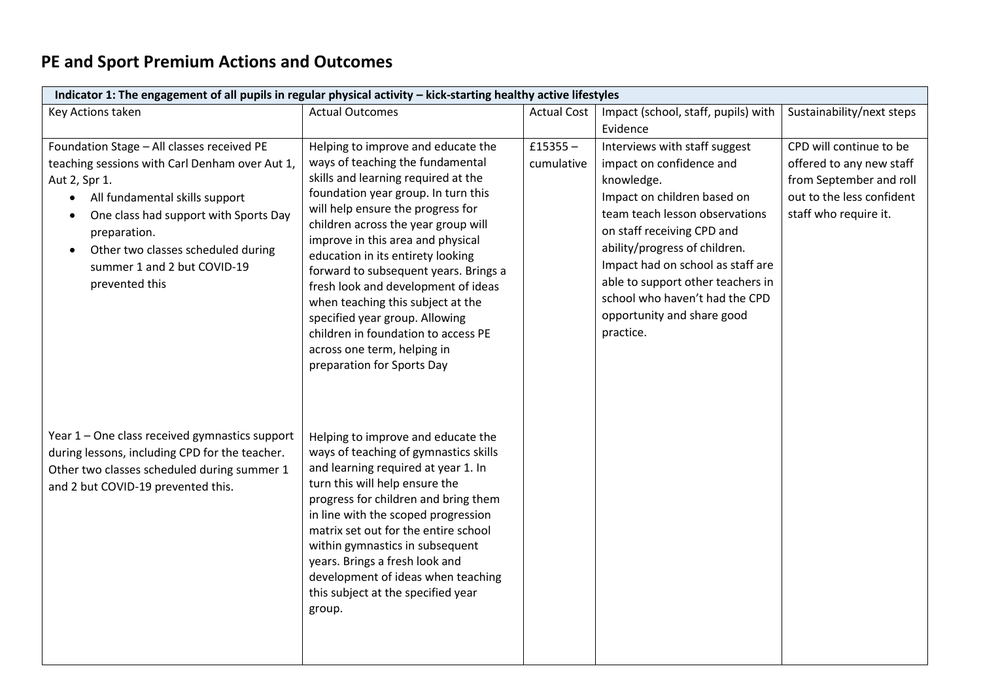# **PE and Sport Premium Actions and Outcomes**

| Indicator 1: The engagement of all pupils in regular physical activity - kick-starting healthy active lifestyles                                                                                                                                                                                                                       |                                                                                                                                                                                                                                                                                                                                                                                                                                                                                                                                         |                          |                                                                                                                                                                                                                                                                                                                                                                |                                                                                                                                      |  |
|----------------------------------------------------------------------------------------------------------------------------------------------------------------------------------------------------------------------------------------------------------------------------------------------------------------------------------------|-----------------------------------------------------------------------------------------------------------------------------------------------------------------------------------------------------------------------------------------------------------------------------------------------------------------------------------------------------------------------------------------------------------------------------------------------------------------------------------------------------------------------------------------|--------------------------|----------------------------------------------------------------------------------------------------------------------------------------------------------------------------------------------------------------------------------------------------------------------------------------------------------------------------------------------------------------|--------------------------------------------------------------------------------------------------------------------------------------|--|
| Key Actions taken                                                                                                                                                                                                                                                                                                                      | <b>Actual Outcomes</b>                                                                                                                                                                                                                                                                                                                                                                                                                                                                                                                  | <b>Actual Cost</b>       | Impact (school, staff, pupils) with                                                                                                                                                                                                                                                                                                                            | Sustainability/next steps                                                                                                            |  |
|                                                                                                                                                                                                                                                                                                                                        |                                                                                                                                                                                                                                                                                                                                                                                                                                                                                                                                         |                          | Evidence                                                                                                                                                                                                                                                                                                                                                       |                                                                                                                                      |  |
| Foundation Stage - All classes received PE<br>teaching sessions with Carl Denham over Aut 1,<br>Aut 2, Spr 1.<br>All fundamental skills support<br>$\bullet$<br>One class had support with Sports Day<br>$\bullet$<br>preparation.<br>Other two classes scheduled during<br>$\bullet$<br>summer 1 and 2 but COVID-19<br>prevented this | Helping to improve and educate the<br>ways of teaching the fundamental<br>skills and learning required at the<br>foundation year group. In turn this<br>will help ensure the progress for<br>children across the year group will<br>improve in this area and physical<br>education in its entirety looking<br>forward to subsequent years. Brings a<br>fresh look and development of ideas<br>when teaching this subject at the<br>specified year group. Allowing<br>children in foundation to access PE<br>across one term, helping in | $£15355 -$<br>cumulative | Interviews with staff suggest<br>impact on confidence and<br>knowledge.<br>Impact on children based on<br>team teach lesson observations<br>on staff receiving CPD and<br>ability/progress of children.<br>Impact had on school as staff are<br>able to support other teachers in<br>school who haven't had the CPD<br>opportunity and share good<br>practice. | CPD will continue to be<br>offered to any new staff<br>from September and roll<br>out to the less confident<br>staff who require it. |  |
| Year 1 - One class received gymnastics support<br>during lessons, including CPD for the teacher.<br>Other two classes scheduled during summer 1<br>and 2 but COVID-19 prevented this.                                                                                                                                                  | preparation for Sports Day<br>Helping to improve and educate the<br>ways of teaching of gymnastics skills<br>and learning required at year 1. In<br>turn this will help ensure the<br>progress for children and bring them<br>in line with the scoped progression<br>matrix set out for the entire school<br>within gymnastics in subsequent<br>years. Brings a fresh look and<br>development of ideas when teaching<br>this subject at the specified year<br>group.                                                                    |                          |                                                                                                                                                                                                                                                                                                                                                                |                                                                                                                                      |  |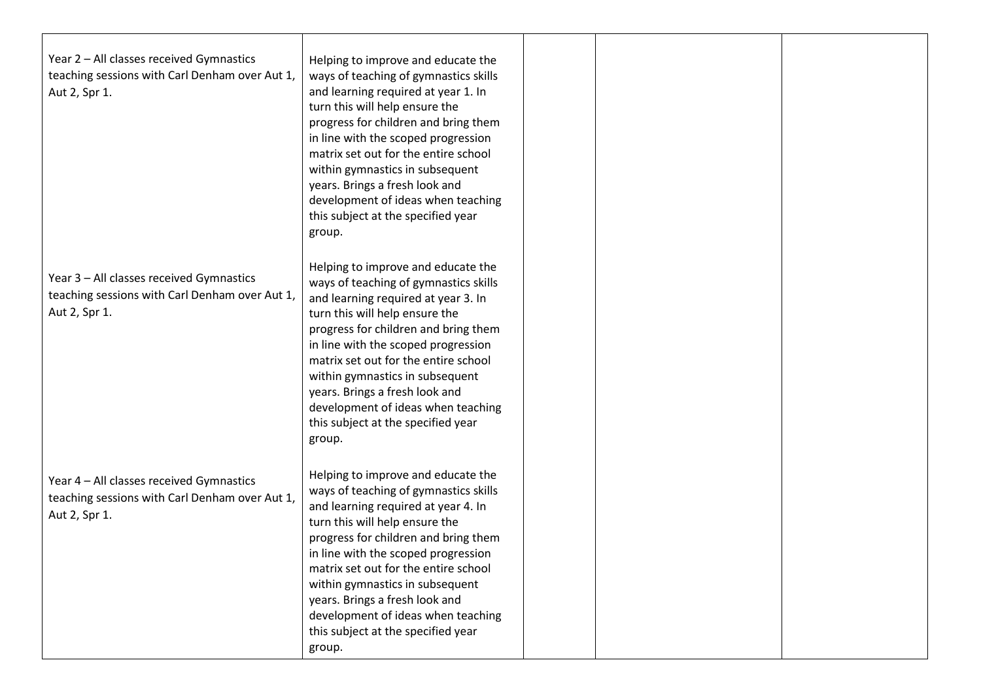| Year 2 - All classes received Gymnastics<br>teaching sessions with Carl Denham over Aut 1,<br>Aut 2, Spr 1. | Helping to improve and educate the<br>ways of teaching of gymnastics skills<br>and learning required at year 1. In<br>turn this will help ensure the<br>progress for children and bring them<br>in line with the scoped progression<br>matrix set out for the entire school<br>within gymnastics in subsequent<br>years. Brings a fresh look and<br>development of ideas when teaching<br>this subject at the specified year<br>group. |  |  |
|-------------------------------------------------------------------------------------------------------------|----------------------------------------------------------------------------------------------------------------------------------------------------------------------------------------------------------------------------------------------------------------------------------------------------------------------------------------------------------------------------------------------------------------------------------------|--|--|
| Year 3 - All classes received Gymnastics<br>teaching sessions with Carl Denham over Aut 1,<br>Aut 2, Spr 1. | Helping to improve and educate the<br>ways of teaching of gymnastics skills<br>and learning required at year 3. In<br>turn this will help ensure the<br>progress for children and bring them<br>in line with the scoped progression<br>matrix set out for the entire school<br>within gymnastics in subsequent<br>years. Brings a fresh look and<br>development of ideas when teaching<br>this subject at the specified year<br>group. |  |  |
| Year 4 - All classes received Gymnastics<br>teaching sessions with Carl Denham over Aut 1,<br>Aut 2, Spr 1. | Helping to improve and educate the<br>ways of teaching of gymnastics skills<br>and learning required at year 4. In<br>turn this will help ensure the<br>progress for children and bring them<br>in line with the scoped progression<br>matrix set out for the entire school<br>within gymnastics in subsequent<br>years. Brings a fresh look and<br>development of ideas when teaching<br>this subject at the specified year<br>group. |  |  |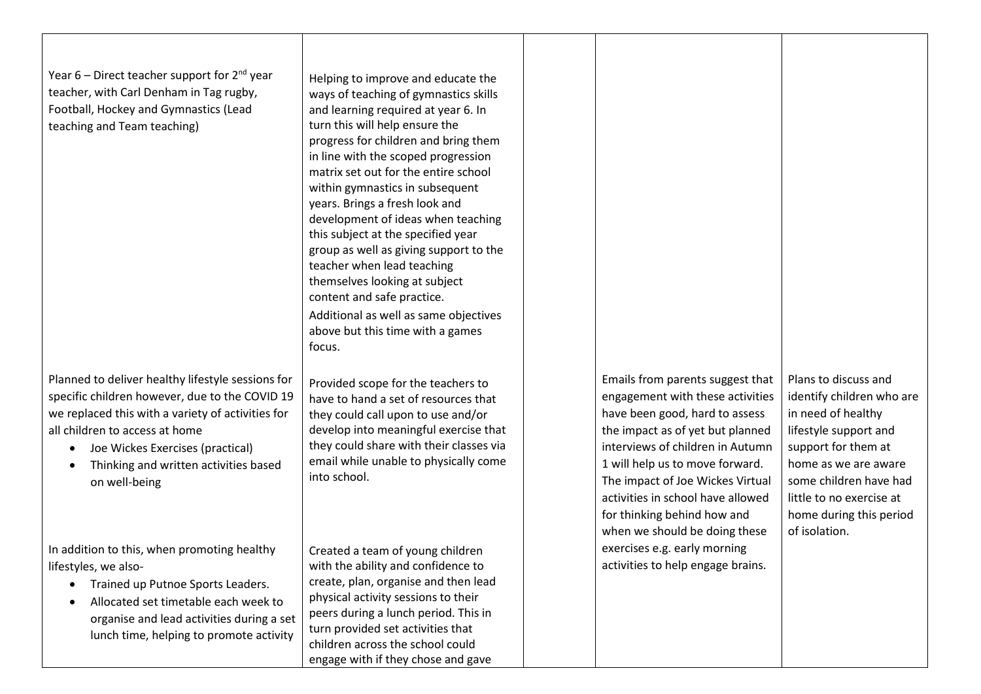Year 6 – Direct teacher support for  $2^{nd}$  year teacher, with Carl Denham in Tag rugby, Football, Hockey and Gymnastics (Lead teaching and Team teaching)

Planned to deliver healthy lifestyle sessions for specific children however, due to the COVID 19 we replaced this with a variety of activities for all children to access at home

- Joe Wickes Exercises (practical)
- Thinking and written activities based on well-being

In addition to this, when promoting healthy lifestyles, we also-

- Trained up Putnoe Sports Leaders.
- Allocated set timetable each week to organise and lead activities during a set lunch time, helping to promote activity

Helping to improve and educate the ways of teaching of gymnastics skills and learning required at year 6. In turn this will help ensure the progress for children and bring them in line with the scoped progression matrix set out for the entire school within gymnastics in subsequent years. Brings a fresh look and development of ideas when teaching this subject at the specified year group as well as giving support to the teacher when lead teaching themselves looking at subject content and safe practice. Additional as well as same objectives above but this time with a games focus.

Provided scope for the teachers to have to hand a set of resources that they could call upon to use and/or develop into meaningful exercise that they could share with their classes via email while unable to physically come into school.

Created a team of young children with the ability and confidence to create, plan, organise and then lead physical activity sessions to their peers during a lunch period. This in turn provided set activities that children across the school could engage with if they chose and gave

Emails from parents suggest that engagement with these activities have been good, hard to assess the impact as of yet but planned interviews of children in Autumn 1 will help us to move forward. The impact of Joe Wickes Virtual activities in school have allowed for thinking behind how and when we should be doing these exercises e.g. early morning activities to help engage brains.

Plans to discuss and identify children who are in need of healthy lifestyle support and support for them at home as we are aware some children have had little to no exercise at home during this period of isolation.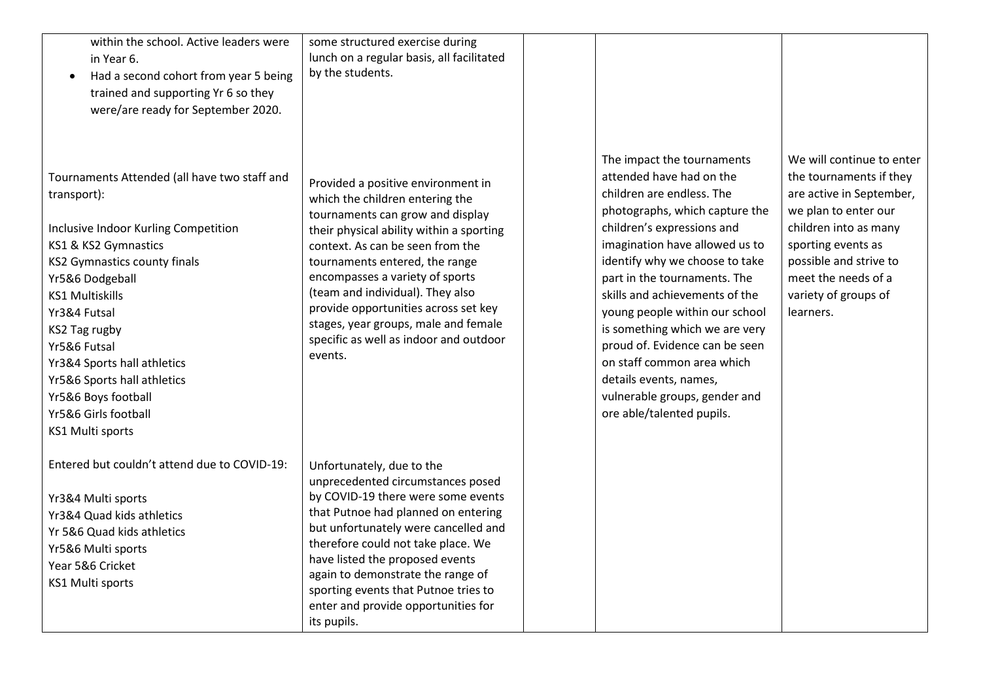| within the school. Active leaders were<br>in Year 6.<br>Had a second cohort from year 5 being<br>$\bullet$<br>trained and supporting Yr 6 so they<br>were/are ready for September 2020.                                                                                                                                                                                                           | some structured exercise during<br>lunch on a regular basis, all facilitated<br>by the students.                                                                                                                                                                                                                                                                                                                                        |                                                                                                                                                                                                                                                                                                                                                                                                                                                                                                                       |                                                                                                                                                                                                                                               |
|---------------------------------------------------------------------------------------------------------------------------------------------------------------------------------------------------------------------------------------------------------------------------------------------------------------------------------------------------------------------------------------------------|-----------------------------------------------------------------------------------------------------------------------------------------------------------------------------------------------------------------------------------------------------------------------------------------------------------------------------------------------------------------------------------------------------------------------------------------|-----------------------------------------------------------------------------------------------------------------------------------------------------------------------------------------------------------------------------------------------------------------------------------------------------------------------------------------------------------------------------------------------------------------------------------------------------------------------------------------------------------------------|-----------------------------------------------------------------------------------------------------------------------------------------------------------------------------------------------------------------------------------------------|
| Tournaments Attended (all have two staff and<br>transport):<br>Inclusive Indoor Kurling Competition<br>KS1 & KS2 Gymnastics<br><b>KS2 Gymnastics county finals</b><br>Yr5&6 Dodgeball<br><b>KS1 Multiskills</b><br>Yr3&4 Futsal<br>KS2 Tag rugby<br>Yr5&6 Futsal<br>Yr3&4 Sports hall athletics<br>Yr5&6 Sports hall athletics<br>Yr5&6 Boys football<br>Yr5&6 Girls football<br>KS1 Multi sports | Provided a positive environment in<br>which the children entering the<br>tournaments can grow and display<br>their physical ability within a sporting<br>context. As can be seen from the<br>tournaments entered, the range<br>encompasses a variety of sports<br>(team and individual). They also<br>provide opportunities across set key<br>stages, year groups, male and female<br>specific as well as indoor and outdoor<br>events. | The impact the tournaments<br>attended have had on the<br>children are endless. The<br>photographs, which capture the<br>children's expressions and<br>imagination have allowed us to<br>identify why we choose to take<br>part in the tournaments. The<br>skills and achievements of the<br>young people within our school<br>is something which we are very<br>proud of. Evidence can be seen<br>on staff common area which<br>details events, names,<br>vulnerable groups, gender and<br>ore able/talented pupils. | We will continue to enter<br>the tournaments if they<br>are active in September,<br>we plan to enter our<br>children into as many<br>sporting events as<br>possible and strive to<br>meet the needs of a<br>variety of groups of<br>learners. |
| Entered but couldn't attend due to COVID-19:<br>Yr3&4 Multi sports<br>Yr3&4 Quad kids athletics<br>Yr 5&6 Quad kids athletics<br>Yr5&6 Multi sports<br>Year 5&6 Cricket<br>KS1 Multi sports                                                                                                                                                                                                       | Unfortunately, due to the<br>unprecedented circumstances posed<br>by COVID-19 there were some events<br>that Putnoe had planned on entering<br>but unfortunately were cancelled and<br>therefore could not take place. We<br>have listed the proposed events<br>again to demonstrate the range of<br>sporting events that Putnoe tries to<br>enter and provide opportunities for<br>its pupils.                                         |                                                                                                                                                                                                                                                                                                                                                                                                                                                                                                                       |                                                                                                                                                                                                                                               |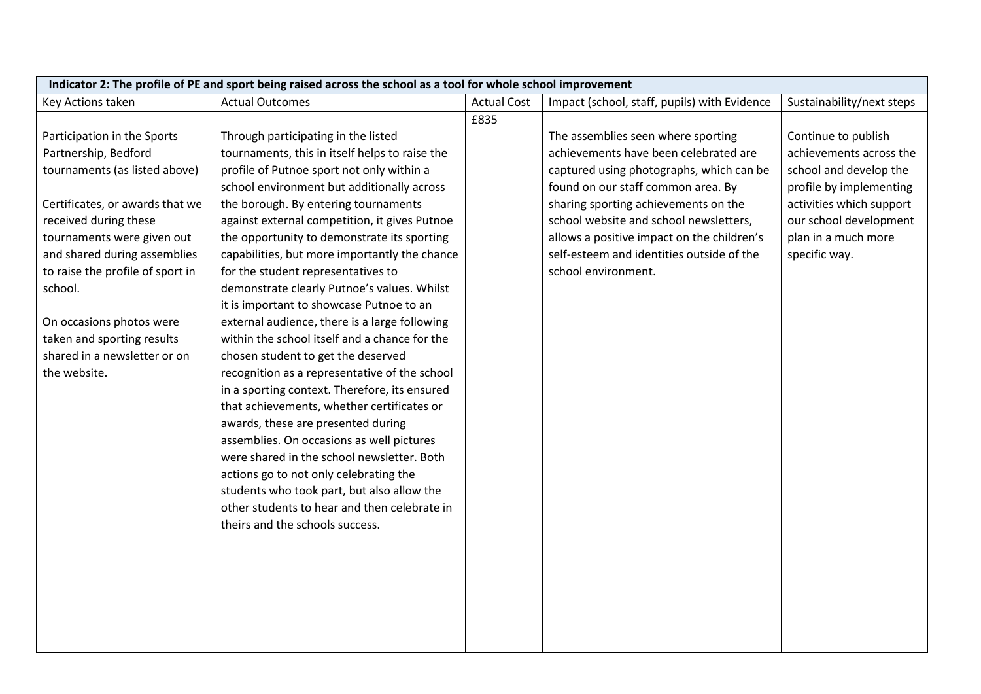| Indicator 2: The profile of PE and sport being raised across the school as a tool for whole school improvement |                                                |                    |                                              |                           |
|----------------------------------------------------------------------------------------------------------------|------------------------------------------------|--------------------|----------------------------------------------|---------------------------|
| Key Actions taken                                                                                              | <b>Actual Outcomes</b>                         | <b>Actual Cost</b> | Impact (school, staff, pupils) with Evidence | Sustainability/next steps |
|                                                                                                                |                                                | £835               |                                              |                           |
| Participation in the Sports                                                                                    | Through participating in the listed            |                    | The assemblies seen where sporting           | Continue to publish       |
| Partnership, Bedford                                                                                           | tournaments, this in itself helps to raise the |                    | achievements have been celebrated are        | achievements across the   |
| tournaments (as listed above)                                                                                  | profile of Putnoe sport not only within a      |                    | captured using photographs, which can be     | school and develop the    |
|                                                                                                                | school environment but additionally across     |                    | found on our staff common area. By           | profile by implementing   |
| Certificates, or awards that we                                                                                | the borough. By entering tournaments           |                    | sharing sporting achievements on the         | activities which support  |
| received during these                                                                                          | against external competition, it gives Putnoe  |                    | school website and school newsletters,       | our school development    |
| tournaments were given out                                                                                     | the opportunity to demonstrate its sporting    |                    | allows a positive impact on the children's   | plan in a much more       |
| and shared during assemblies                                                                                   | capabilities, but more importantly the chance  |                    | self-esteem and identities outside of the    | specific way.             |
| to raise the profile of sport in                                                                               | for the student representatives to             |                    | school environment.                          |                           |
| school.                                                                                                        | demonstrate clearly Putnoe's values. Whilst    |                    |                                              |                           |
|                                                                                                                | it is important to showcase Putnoe to an       |                    |                                              |                           |
| On occasions photos were                                                                                       | external audience, there is a large following  |                    |                                              |                           |
| taken and sporting results                                                                                     | within the school itself and a chance for the  |                    |                                              |                           |
| shared in a newsletter or on                                                                                   | chosen student to get the deserved             |                    |                                              |                           |
| the website.                                                                                                   | recognition as a representative of the school  |                    |                                              |                           |
|                                                                                                                | in a sporting context. Therefore, its ensured  |                    |                                              |                           |
|                                                                                                                | that achievements, whether certificates or     |                    |                                              |                           |
|                                                                                                                | awards, these are presented during             |                    |                                              |                           |
|                                                                                                                | assemblies. On occasions as well pictures      |                    |                                              |                           |
|                                                                                                                | were shared in the school newsletter. Both     |                    |                                              |                           |
|                                                                                                                | actions go to not only celebrating the         |                    |                                              |                           |
|                                                                                                                | students who took part, but also allow the     |                    |                                              |                           |
|                                                                                                                | other students to hear and then celebrate in   |                    |                                              |                           |
|                                                                                                                | theirs and the schools success.                |                    |                                              |                           |
|                                                                                                                |                                                |                    |                                              |                           |
|                                                                                                                |                                                |                    |                                              |                           |
|                                                                                                                |                                                |                    |                                              |                           |
|                                                                                                                |                                                |                    |                                              |                           |
|                                                                                                                |                                                |                    |                                              |                           |
|                                                                                                                |                                                |                    |                                              |                           |
|                                                                                                                |                                                |                    |                                              |                           |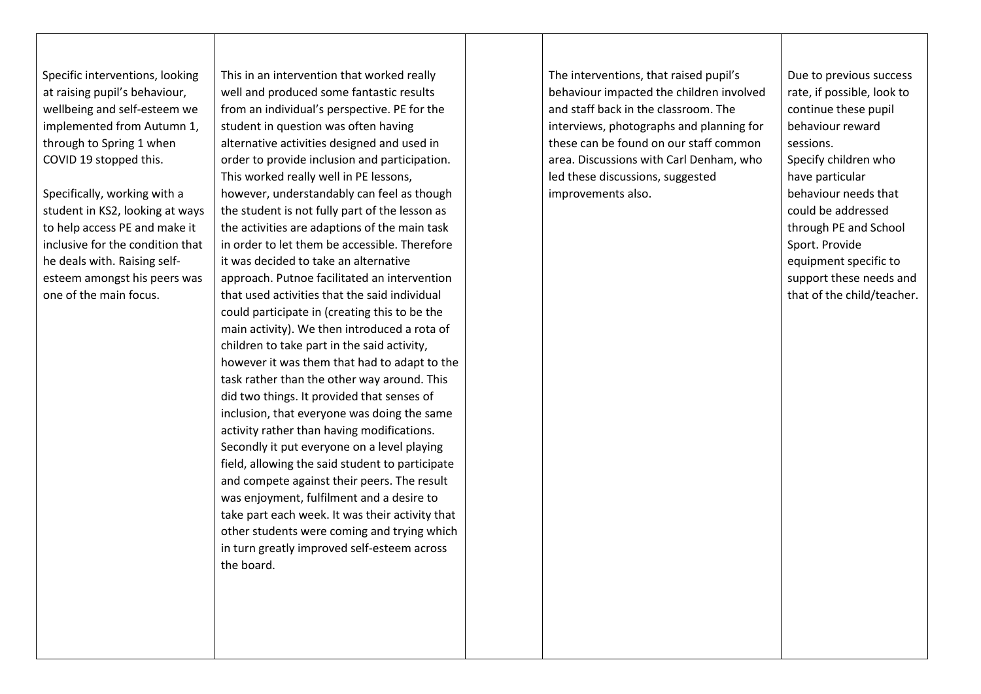Specific interventions, looking at raising pupil's behaviour, wellbeing and self-esteem we implemented from Autumn 1, through to Spring 1 when COVID 19 stopped this.

Specifically, working with a student in KS2, looking at ways to help access PE and make it inclusive for the condition that he deals with. Raising selfesteem amongst his peers was one of the main focus.

This in an intervention that worked really well and produced some fantastic results from an individual's perspective. PE for the student in question was often having alternative activities designed and used in order to provide inclusion and participation. This worked really well in PE lessons, however, understandably can feel as though the student is not fully part of the lesson as the activities are adaptions of the main task in order to let them be accessible. Therefore it was decided to take an alternative approach. Putnoe facilitated an intervention that used activities that the said individual could participate in (creating this to be the main activity). We then introduced a rota of children to take part in the said activity, however it was them that had to adapt to the task rather than the other way around. This did two things. It provided that senses of inclusion, that everyone was doing the same activity rather than having modifications. Secondly it put everyone on a level playing field, allowing the said student to participate and compete against their peers. The result was enjoyment, fulfilment and a desire to take part each week. It was their activity that other students were coming and trying which in turn greatly improved self-esteem across the board.

The interventions, that raised pupil's behaviour impacted the children involved and staff back in the classroom. The interviews, photographs and planning for these can be found on our staff common area. Discussions with Carl Denham, who led these discussions, suggested improvements also.

Due to previous success rate, if possible, look to continue these pupil behaviour reward sessions. Specify children who have particular behaviour needs that could be addressed through PE and School Sport. Provide equipment specific to support these needs and that of the child/teacher.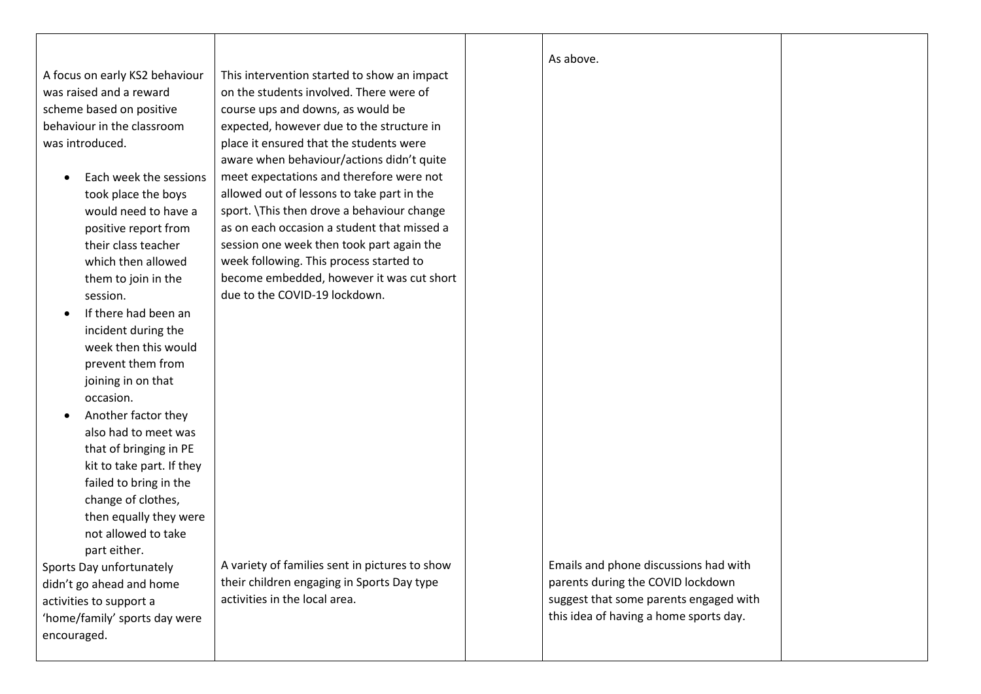A focus on early KS2 behaviour was raised and a reward scheme based on positive behaviour in the classroom was introduced.

- Each week the sessions took place the boys would need to have a positive report from their class teacher which then allowed them to join in the session.
- If there had been an incident during the week then this would prevent them from joining in on that occasion.
- Another factor they also had to meet was that of bringing in PE kit to take part. If they failed to bring in the change of clothes, then equally they were not allowed to take part either.

Sports Day unfortunately didn't go ahead and home activities to support a 'home/family' sports day were encouraged.

This intervention started to show an impact on the students involved. There were of course ups and downs, as would be expected, however due to the structure in place it ensured that the students were aware when behaviour/actions didn't quite meet expectations and therefore were not allowed out of lessons to take part in the sport. \This then drove a behaviour change as on each occasion a student that missed a session one week then took part again the week following. This process started to become embedded, however it was cut short due to the COVID-19 lockdown.

A variety of families sent in pictures to show their children engaging in Sports Day type activities in the local area.

Emails and phone discussions had with parents during the COVID lockdown suggest that some parents engaged with this idea of having a home sports day.

As above.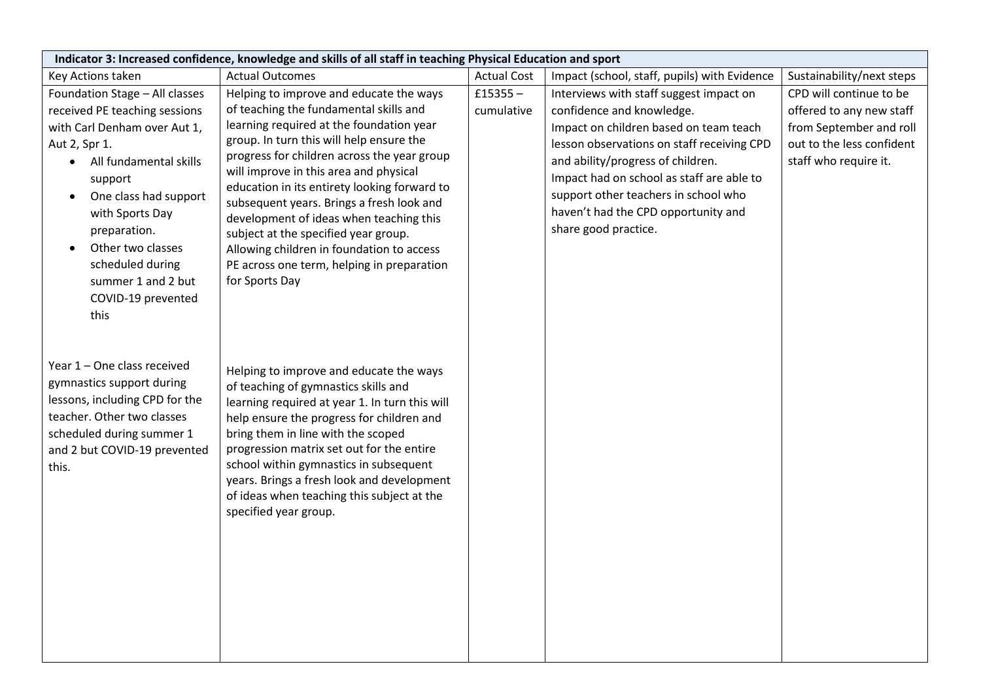| Indicator 3: Increased confidence, knowledge and skills of all staff in teaching Physical Education and sport                                                                                                                                                                                                    |                                                                                                                                                                                                                                                                                                                                                                                                                                                                                                                                                                 |                          |                                                                                                                                                                                                                                                                                                                                                       |                                                                                                                                      |  |
|------------------------------------------------------------------------------------------------------------------------------------------------------------------------------------------------------------------------------------------------------------------------------------------------------------------|-----------------------------------------------------------------------------------------------------------------------------------------------------------------------------------------------------------------------------------------------------------------------------------------------------------------------------------------------------------------------------------------------------------------------------------------------------------------------------------------------------------------------------------------------------------------|--------------------------|-------------------------------------------------------------------------------------------------------------------------------------------------------------------------------------------------------------------------------------------------------------------------------------------------------------------------------------------------------|--------------------------------------------------------------------------------------------------------------------------------------|--|
| Key Actions taken                                                                                                                                                                                                                                                                                                | <b>Actual Outcomes</b>                                                                                                                                                                                                                                                                                                                                                                                                                                                                                                                                          | <b>Actual Cost</b>       | Impact (school, staff, pupils) with Evidence                                                                                                                                                                                                                                                                                                          | Sustainability/next steps                                                                                                            |  |
| Foundation Stage - All classes<br>received PE teaching sessions<br>with Carl Denham over Aut 1,<br>Aut 2, Spr 1.<br>• All fundamental skills<br>support<br>One class had support<br>with Sports Day<br>preparation.<br>Other two classes<br>scheduled during<br>summer 1 and 2 but<br>COVID-19 prevented<br>this | Helping to improve and educate the ways<br>of teaching the fundamental skills and<br>learning required at the foundation year<br>group. In turn this will help ensure the<br>progress for children across the year group<br>will improve in this area and physical<br>education in its entirety looking forward to<br>subsequent years. Brings a fresh look and<br>development of ideas when teaching this<br>subject at the specified year group.<br>Allowing children in foundation to access<br>PE across one term, helping in preparation<br>for Sports Day | £15355 $-$<br>cumulative | Interviews with staff suggest impact on<br>confidence and knowledge.<br>Impact on children based on team teach<br>lesson observations on staff receiving CPD<br>and ability/progress of children.<br>Impact had on school as staff are able to<br>support other teachers in school who<br>haven't had the CPD opportunity and<br>share good practice. | CPD will continue to be<br>offered to any new staff<br>from September and roll<br>out to the less confident<br>staff who require it. |  |
| Year 1 - One class received<br>gymnastics support during<br>lessons, including CPD for the<br>teacher. Other two classes<br>scheduled during summer 1<br>and 2 but COVID-19 prevented<br>this.                                                                                                                   | Helping to improve and educate the ways<br>of teaching of gymnastics skills and<br>learning required at year 1. In turn this will<br>help ensure the progress for children and<br>bring them in line with the scoped<br>progression matrix set out for the entire<br>school within gymnastics in subsequent<br>years. Brings a fresh look and development<br>of ideas when teaching this subject at the<br>specified year group.                                                                                                                                |                          |                                                                                                                                                                                                                                                                                                                                                       |                                                                                                                                      |  |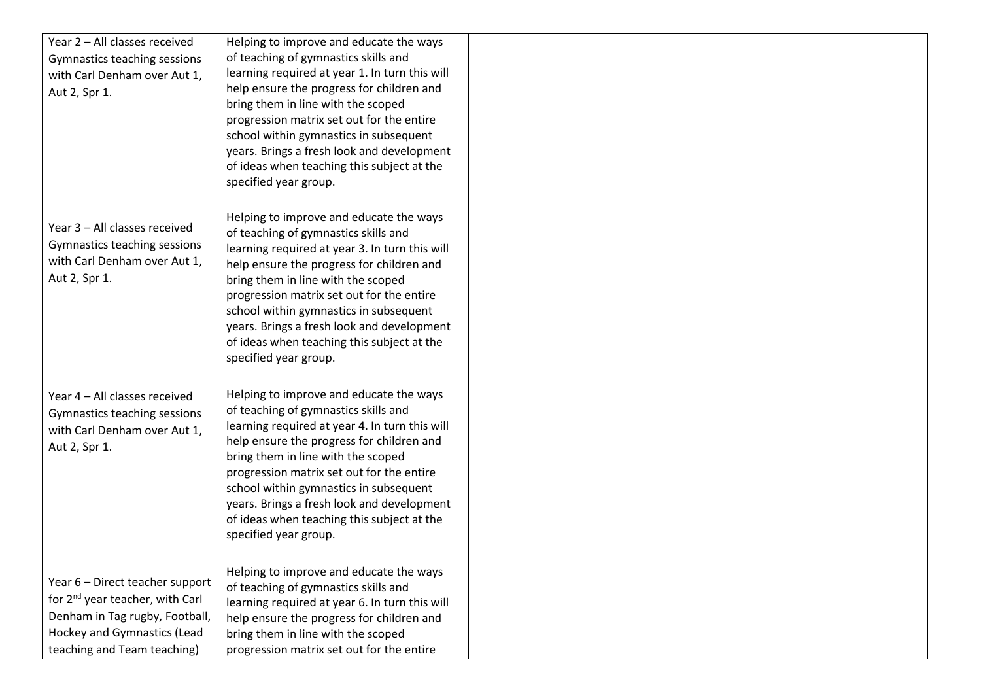| Year 2 - All classes received               | Helping to improve and educate the ways                                         |  |  |
|---------------------------------------------|---------------------------------------------------------------------------------|--|--|
| Gymnastics teaching sessions                | of teaching of gymnastics skills and                                            |  |  |
| with Carl Denham over Aut 1,                | learning required at year 1. In turn this will                                  |  |  |
| Aut 2, Spr 1.                               | help ensure the progress for children and                                       |  |  |
|                                             | bring them in line with the scoped                                              |  |  |
|                                             | progression matrix set out for the entire                                       |  |  |
|                                             | school within gymnastics in subsequent                                          |  |  |
|                                             | years. Brings a fresh look and development                                      |  |  |
|                                             | of ideas when teaching this subject at the                                      |  |  |
|                                             | specified year group.                                                           |  |  |
|                                             |                                                                                 |  |  |
|                                             | Helping to improve and educate the ways                                         |  |  |
| Year 3 - All classes received               | of teaching of gymnastics skills and                                            |  |  |
| Gymnastics teaching sessions                | learning required at year 3. In turn this will                                  |  |  |
| with Carl Denham over Aut 1,                | help ensure the progress for children and                                       |  |  |
| Aut 2, Spr 1.                               | bring them in line with the scoped                                              |  |  |
|                                             | progression matrix set out for the entire                                       |  |  |
|                                             | school within gymnastics in subsequent                                          |  |  |
|                                             | years. Brings a fresh look and development                                      |  |  |
|                                             | of ideas when teaching this subject at the                                      |  |  |
|                                             | specified year group.                                                           |  |  |
|                                             |                                                                                 |  |  |
| Year 4 - All classes received               | Helping to improve and educate the ways                                         |  |  |
| Gymnastics teaching sessions                | of teaching of gymnastics skills and                                            |  |  |
| with Carl Denham over Aut 1,                | learning required at year 4. In turn this will                                  |  |  |
| Aut 2, Spr 1.                               | help ensure the progress for children and<br>bring them in line with the scoped |  |  |
|                                             | progression matrix set out for the entire                                       |  |  |
|                                             | school within gymnastics in subsequent                                          |  |  |
|                                             | years. Brings a fresh look and development                                      |  |  |
|                                             | of ideas when teaching this subject at the                                      |  |  |
|                                             | specified year group.                                                           |  |  |
|                                             |                                                                                 |  |  |
|                                             | Helping to improve and educate the ways                                         |  |  |
| Year 6 - Direct teacher support             | of teaching of gymnastics skills and                                            |  |  |
| for 2 <sup>nd</sup> year teacher, with Carl | learning required at year 6. In turn this will                                  |  |  |
| Denham in Tag rugby, Football,              | help ensure the progress for children and                                       |  |  |
| Hockey and Gymnastics (Lead                 | bring them in line with the scoped                                              |  |  |
| teaching and Team teaching)                 | progression matrix set out for the entire                                       |  |  |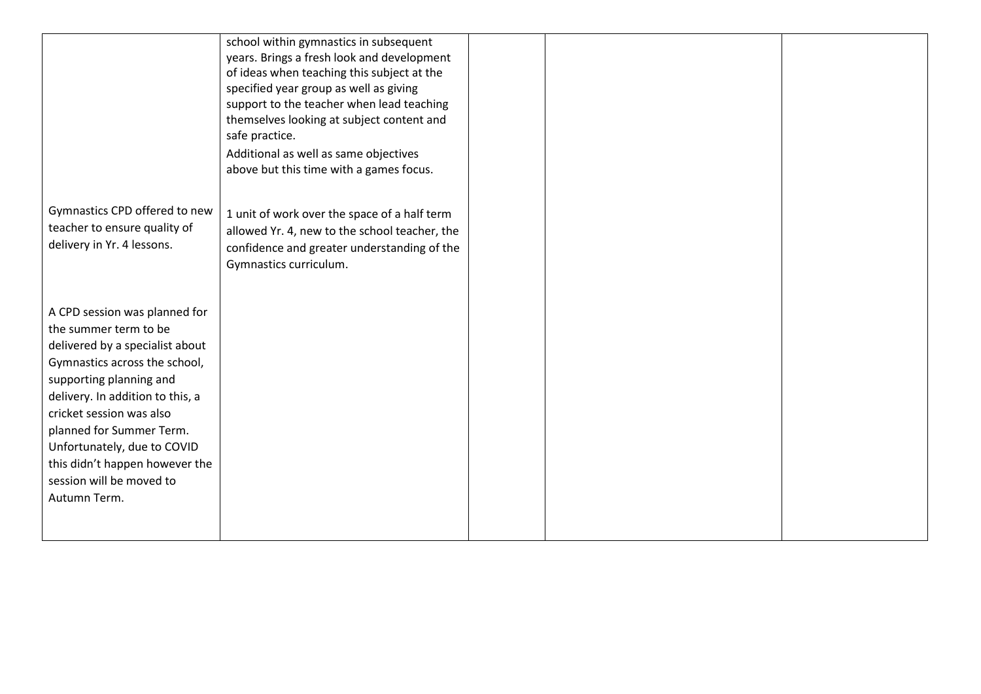|                                                             | school within gymnastics in subsequent<br>years. Brings a fresh look and development<br>of ideas when teaching this subject at the<br>specified year group as well as giving<br>support to the teacher when lead teaching<br>themselves looking at subject content and<br>safe practice.<br>Additional as well as same objectives<br>above but this time with a games focus. |  |  |
|-------------------------------------------------------------|------------------------------------------------------------------------------------------------------------------------------------------------------------------------------------------------------------------------------------------------------------------------------------------------------------------------------------------------------------------------------|--|--|
| Gymnastics CPD offered to new                               | 1 unit of work over the space of a half term                                                                                                                                                                                                                                                                                                                                 |  |  |
| teacher to ensure quality of                                | allowed Yr. 4, new to the school teacher, the                                                                                                                                                                                                                                                                                                                                |  |  |
| delivery in Yr. 4 lessons.                                  | confidence and greater understanding of the<br>Gymnastics curriculum.                                                                                                                                                                                                                                                                                                        |  |  |
|                                                             |                                                                                                                                                                                                                                                                                                                                                                              |  |  |
| A CPD session was planned for                               |                                                                                                                                                                                                                                                                                                                                                                              |  |  |
| the summer term to be                                       |                                                                                                                                                                                                                                                                                                                                                                              |  |  |
| delivered by a specialist about                             |                                                                                                                                                                                                                                                                                                                                                                              |  |  |
| Gymnastics across the school,                               |                                                                                                                                                                                                                                                                                                                                                                              |  |  |
| supporting planning and<br>delivery. In addition to this, a |                                                                                                                                                                                                                                                                                                                                                                              |  |  |
| cricket session was also                                    |                                                                                                                                                                                                                                                                                                                                                                              |  |  |
| planned for Summer Term.                                    |                                                                                                                                                                                                                                                                                                                                                                              |  |  |
| Unfortunately, due to COVID                                 |                                                                                                                                                                                                                                                                                                                                                                              |  |  |
| this didn't happen however the                              |                                                                                                                                                                                                                                                                                                                                                                              |  |  |
| session will be moved to                                    |                                                                                                                                                                                                                                                                                                                                                                              |  |  |
| Autumn Term.                                                |                                                                                                                                                                                                                                                                                                                                                                              |  |  |
|                                                             |                                                                                                                                                                                                                                                                                                                                                                              |  |  |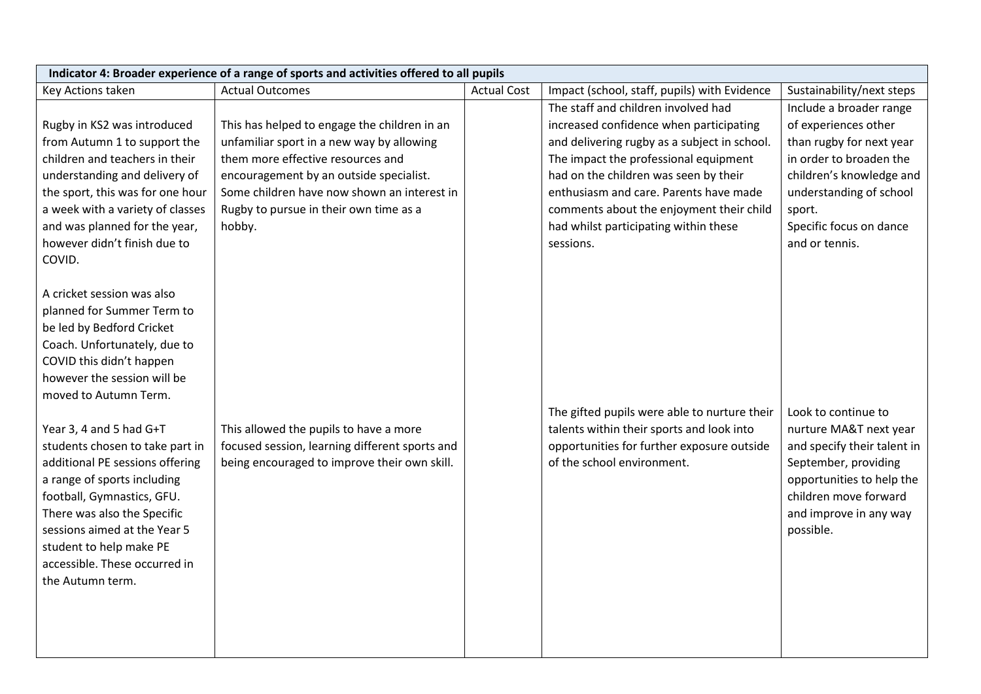|                                  | Indicator 4: Broader experience of a range of sports and activities offered to all pupils |                    |                                              |                             |
|----------------------------------|-------------------------------------------------------------------------------------------|--------------------|----------------------------------------------|-----------------------------|
| Key Actions taken                | <b>Actual Outcomes</b>                                                                    | <b>Actual Cost</b> | Impact (school, staff, pupils) with Evidence | Sustainability/next steps   |
|                                  |                                                                                           |                    | The staff and children involved had          | Include a broader range     |
| Rugby in KS2 was introduced      | This has helped to engage the children in an                                              |                    | increased confidence when participating      | of experiences other        |
| from Autumn 1 to support the     | unfamiliar sport in a new way by allowing                                                 |                    | and delivering rugby as a subject in school. | than rugby for next year    |
| children and teachers in their   | them more effective resources and                                                         |                    | The impact the professional equipment        | in order to broaden the     |
| understanding and delivery of    | encouragement by an outside specialist.                                                   |                    | had on the children was seen by their        | children's knowledge and    |
| the sport, this was for one hour | Some children have now shown an interest in                                               |                    | enthusiasm and care. Parents have made       | understanding of school     |
| a week with a variety of classes | Rugby to pursue in their own time as a                                                    |                    | comments about the enjoyment their child     | sport.                      |
| and was planned for the year,    | hobby.                                                                                    |                    | had whilst participating within these        | Specific focus on dance     |
| however didn't finish due to     |                                                                                           |                    | sessions.                                    | and or tennis.              |
| COVID.                           |                                                                                           |                    |                                              |                             |
|                                  |                                                                                           |                    |                                              |                             |
| A cricket session was also       |                                                                                           |                    |                                              |                             |
| planned for Summer Term to       |                                                                                           |                    |                                              |                             |
| be led by Bedford Cricket        |                                                                                           |                    |                                              |                             |
| Coach. Unfortunately, due to     |                                                                                           |                    |                                              |                             |
| COVID this didn't happen         |                                                                                           |                    |                                              |                             |
| however the session will be      |                                                                                           |                    |                                              |                             |
| moved to Autumn Term.            |                                                                                           |                    |                                              |                             |
|                                  |                                                                                           |                    | The gifted pupils were able to nurture their | Look to continue to         |
| Year 3, 4 and 5 had G+T          | This allowed the pupils to have a more                                                    |                    | talents within their sports and look into    | nurture MA&T next year      |
| students chosen to take part in  | focused session, learning different sports and                                            |                    | opportunities for further exposure outside   | and specify their talent in |
| additional PE sessions offering  | being encouraged to improve their own skill.                                              |                    | of the school environment.                   | September, providing        |
| a range of sports including      |                                                                                           |                    |                                              | opportunities to help the   |
| football, Gymnastics, GFU.       |                                                                                           |                    |                                              | children move forward       |
| There was also the Specific      |                                                                                           |                    |                                              | and improve in any way      |
| sessions aimed at the Year 5     |                                                                                           |                    |                                              | possible.                   |
| student to help make PE          |                                                                                           |                    |                                              |                             |
| accessible. These occurred in    |                                                                                           |                    |                                              |                             |
| the Autumn term.                 |                                                                                           |                    |                                              |                             |
|                                  |                                                                                           |                    |                                              |                             |
|                                  |                                                                                           |                    |                                              |                             |
|                                  |                                                                                           |                    |                                              |                             |
|                                  |                                                                                           |                    |                                              |                             |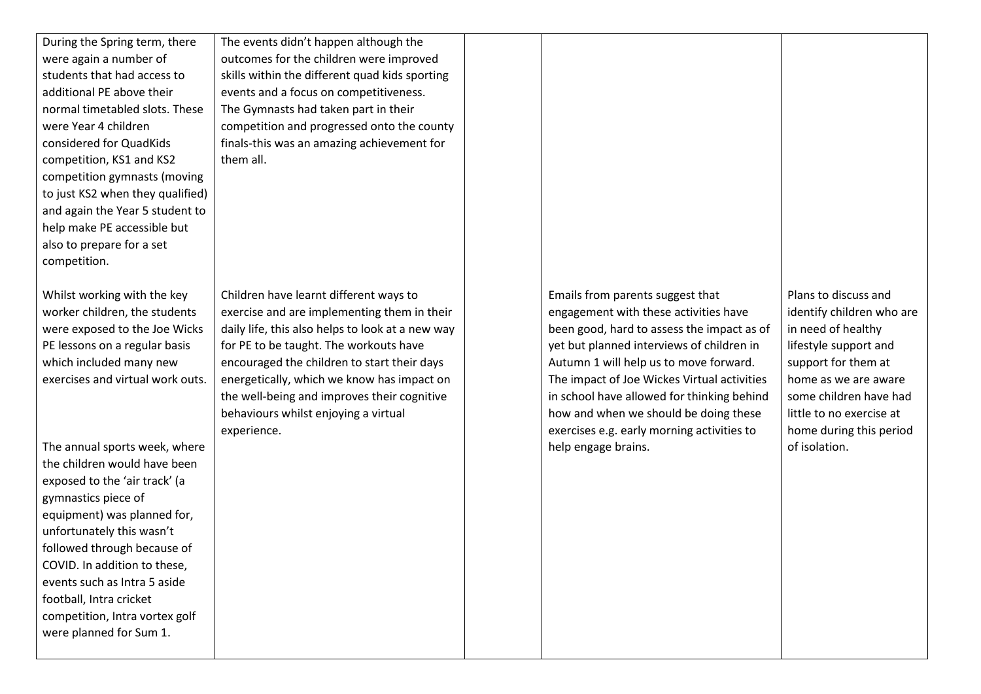During the Spring term, there were again a number of students that had access to additional PE above their normal timetabled slots. These were Year 4 children considered for QuadKids competition, KS1 and KS2 competition gymnasts (moving to just KS2 when they qualified) and again the Year 5 student to help make PE accessible but also to prepare for a set competition.

Whilst working with the key worker children, the students were exposed to the Joe Wicks PE lessons on a regular basis which included many new exercises and virtual work outs.

The annual sports week, where the children would have been exposed to the 'air track' (a gymnastics piece of equipment) was planned for, unfortunately this wasn't followed through because of COVID. In addition to these, events such as Intra 5 aside football, Intra cricket competition, Intra vortex golf were planned for Sum 1.

The events didn't happen although the outcomes for the children were improved skills within the different quad kids sporting events and a focus on competitiveness. The Gymnasts had taken part in their competition and progressed onto the county finals-this was an amazing achievement for them all.

Children have learnt different ways to exercise and are implementing them in their daily life, this also helps to look at a new way for PE to be taught. The workouts have encouraged the children to start their days energetically, which we know has impact on the well-being and improves their cognitive behaviours whilst enjoying a virtual experience.

Emails from parents suggest that engagement with these activities have been good, hard to assess the impact as of yet but planned interviews of children in Autumn 1 will help us to move forward. The impact of Joe Wickes Virtual activities in school have allowed for thinking behind how and when we should be doing these exercises e.g. early morning activities to help engage brains.

Plans to discuss and identify children who are in need of healthy lifestyle support and support for them at home as we are aware some children have had little to no exercise at home during this period of isolation.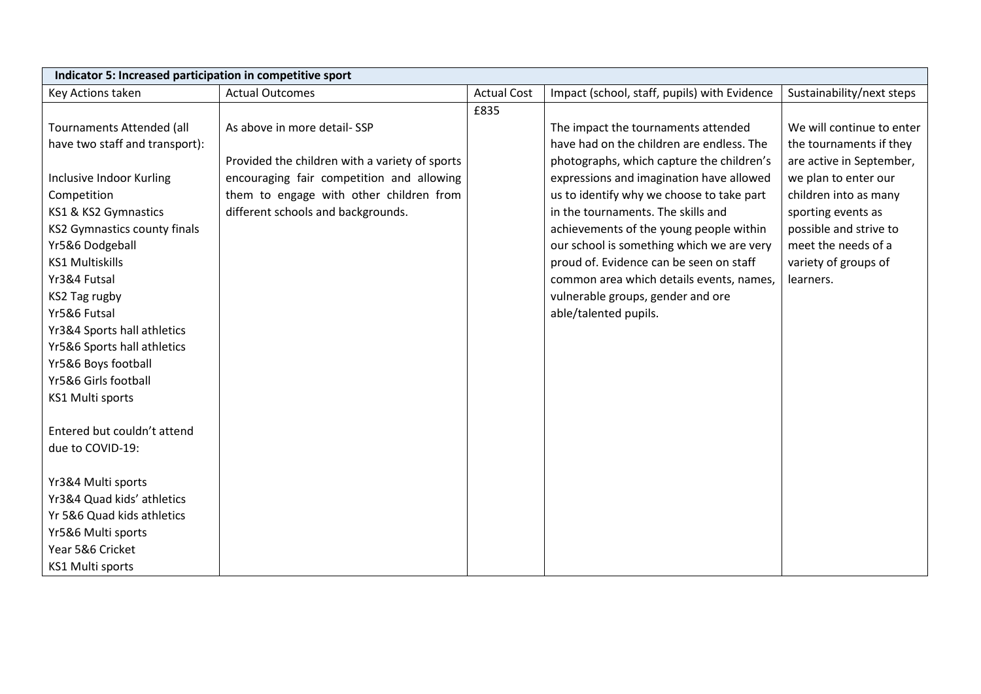| Indicator 5: Increased participation in competitive sport |                                                |                    |                                              |                           |  |  |
|-----------------------------------------------------------|------------------------------------------------|--------------------|----------------------------------------------|---------------------------|--|--|
| Key Actions taken                                         | <b>Actual Outcomes</b>                         | <b>Actual Cost</b> | Impact (school, staff, pupils) with Evidence | Sustainability/next steps |  |  |
|                                                           |                                                | £835               |                                              |                           |  |  |
| Tournaments Attended (all                                 | As above in more detail-SSP                    |                    | The impact the tournaments attended          | We will continue to enter |  |  |
| have two staff and transport):                            |                                                |                    | have had on the children are endless. The    | the tournaments if they   |  |  |
|                                                           | Provided the children with a variety of sports |                    | photographs, which capture the children's    | are active in September,  |  |  |
| Inclusive Indoor Kurling                                  | encouraging fair competition and allowing      |                    | expressions and imagination have allowed     | we plan to enter our      |  |  |
| Competition                                               | them to engage with other children from        |                    | us to identify why we choose to take part    | children into as many     |  |  |
| KS1 & KS2 Gymnastics                                      | different schools and backgrounds.             |                    | in the tournaments. The skills and           | sporting events as        |  |  |
| KS2 Gymnastics county finals                              |                                                |                    | achievements of the young people within      | possible and strive to    |  |  |
| Yr5&6 Dodgeball                                           |                                                |                    | our school is something which we are very    | meet the needs of a       |  |  |
| <b>KS1 Multiskills</b>                                    |                                                |                    | proud of. Evidence can be seen on staff      | variety of groups of      |  |  |
| Yr3&4 Futsal                                              |                                                |                    | common area which details events, names,     | learners.                 |  |  |
| KS2 Tag rugby                                             |                                                |                    | vulnerable groups, gender and ore            |                           |  |  |
| Yr5&6 Futsal                                              |                                                |                    | able/talented pupils.                        |                           |  |  |
| Yr3&4 Sports hall athletics                               |                                                |                    |                                              |                           |  |  |
| Yr5&6 Sports hall athletics                               |                                                |                    |                                              |                           |  |  |
| Yr5&6 Boys football                                       |                                                |                    |                                              |                           |  |  |
| Yr5&6 Girls football                                      |                                                |                    |                                              |                           |  |  |
| <b>KS1 Multi sports</b>                                   |                                                |                    |                                              |                           |  |  |
|                                                           |                                                |                    |                                              |                           |  |  |
| Entered but couldn't attend                               |                                                |                    |                                              |                           |  |  |
| due to COVID-19:                                          |                                                |                    |                                              |                           |  |  |
|                                                           |                                                |                    |                                              |                           |  |  |
| Yr3&4 Multi sports                                        |                                                |                    |                                              |                           |  |  |
| Yr3&4 Quad kids' athletics                                |                                                |                    |                                              |                           |  |  |
| Yr 5&6 Quad kids athletics                                |                                                |                    |                                              |                           |  |  |
| Yr5&6 Multi sports                                        |                                                |                    |                                              |                           |  |  |
| Year 5&6 Cricket                                          |                                                |                    |                                              |                           |  |  |
| <b>KS1 Multi sports</b>                                   |                                                |                    |                                              |                           |  |  |